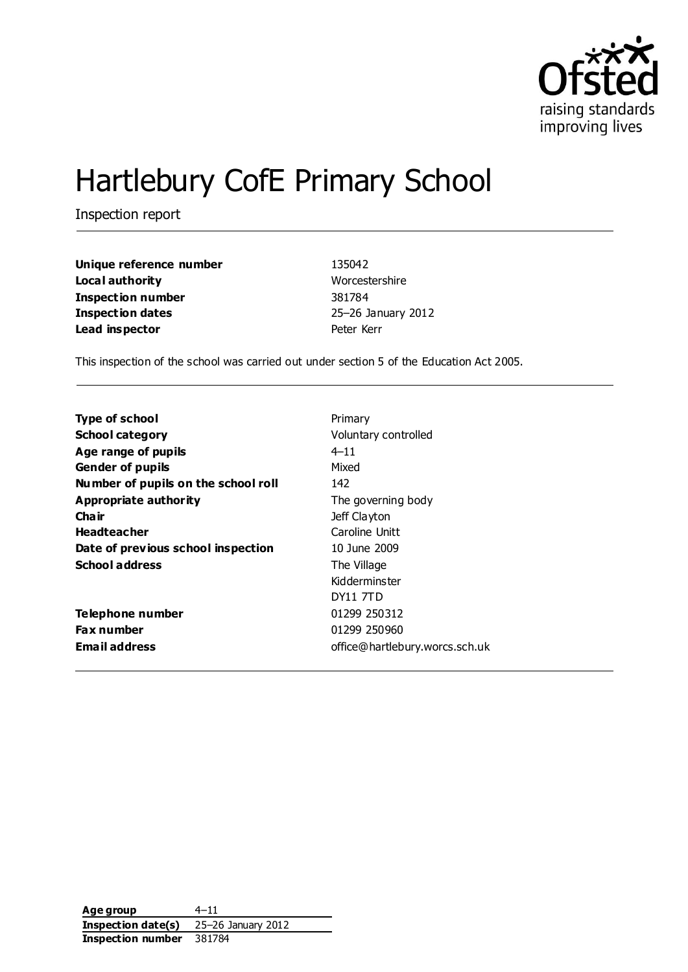

# Hartlebury CofE Primary School

Inspection report

| Unique reference number | 135042             |
|-------------------------|--------------------|
| Local authority         | Worcestershire     |
| Inspection number       | 381784             |
| <b>Inspection dates</b> | 25-26 January 2012 |
| Lead inspector          | Peter Kerr         |

This inspection of the school was carried out under section 5 of the Education Act 2005.

| Primary                        |
|--------------------------------|
| Voluntary controlled           |
| $4 - 11$                       |
| Mixed                          |
| 142                            |
| The governing body             |
| Jeff Clayton                   |
| Caroline Unitt                 |
| 10 June 2009                   |
| The Village                    |
| Kidderminster                  |
| DY11 7TD                       |
| 01299 250312                   |
| 01299 250960                   |
| office@hartlebury.worcs.sch.uk |
|                                |

Age group  $4-11$ **Inspection date(s)** 25–26 January 2012 **Inspection number** 381784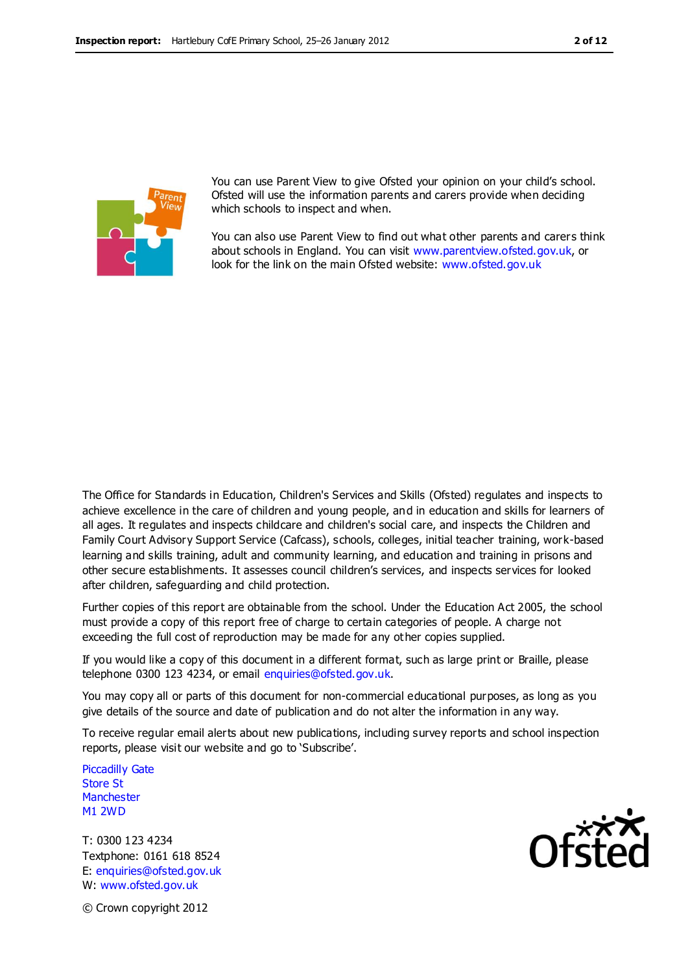

You can use Parent View to give Ofsted your opinion on your child's school. Ofsted will use the information parents and carers provide when deciding which schools to inspect and when.

You can also use Parent View to find out what other parents and carers think about schools in England. You can visit [www.parentview.ofsted.gov.uk,](http://www.parentview.ofsted.gov.uk/) or look for the link on the main Ofsted website: [www.ofsted.gov.uk](http://www.ofsted.gov.uk/)

The Office for Standards in Education, Children's Services and Skills (Ofsted) regulates and inspects to achieve excellence in the care of children and young people, and in education and skills for learners of all ages. It regulates and inspects childcare and children's social care, and inspects the Children and Family Court Advisory Support Service (Cafcass), schools, colleges, initial teacher training, work-based learning and skills training, adult and community learning, and education and training in prisons and other secure establishments. It assesses council children's services, and inspects services for looked after children, safeguarding and child protection.

Further copies of this report are obtainable from the school. Under the Education Act 2005, the school must provide a copy of this report free of charge to certain categories of people. A charge not exceeding the full cost of reproduction may be made for any other copies supplied.

If you would like a copy of this document in a different format, such as large print or Braille, please telephone 0300 123 4234, or email enquiries@ofsted.gov.uk.

You may copy all or parts of this document for non-commercial educational purposes, as long as you give details of the source and date of publication and do not alter the information in any way.

To receive regular email alerts about new publications, including survey reports and school inspection reports, please visit our website and go to 'Subscribe'.

Piccadilly Gate Store St **Manchester** M1 2WD

T: 0300 123 4234 Textphone: 0161 618 8524 E: enquiries@ofsted.gov.uk W: www.ofsted.gov.uk



© Crown copyright 2012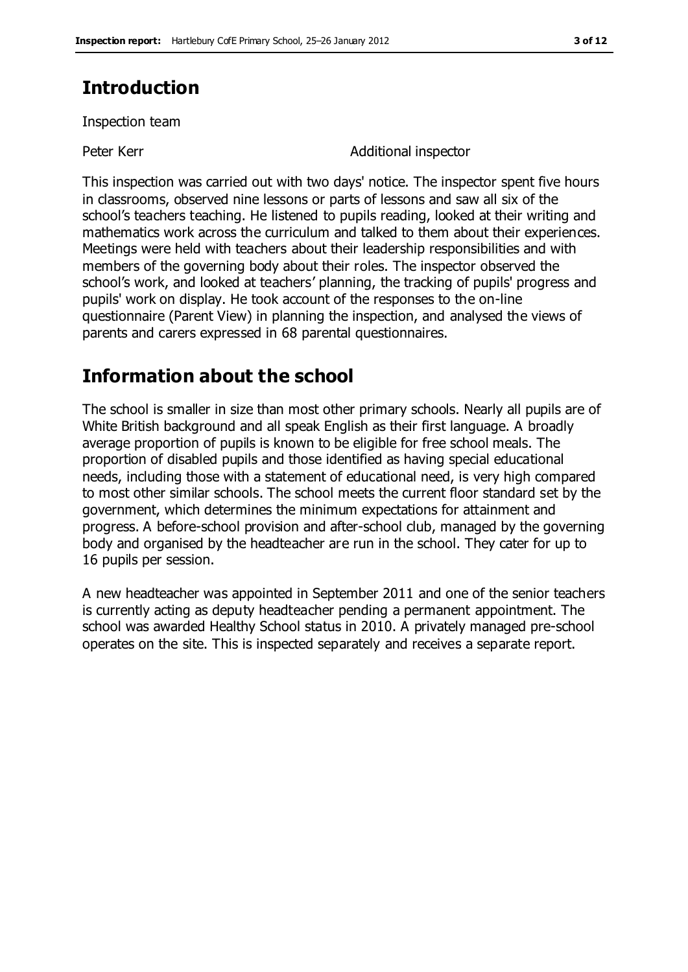### **Introduction**

Inspection team

Peter Kerr **Additional inspector** 

This inspection was carried out with two days' notice. The inspector spent five hours in classrooms, observed nine lessons or parts of lessons and saw all six of the school's teachers teaching. He listened to pupils reading, looked at their writing and mathematics work across the curriculum and talked to them about their experiences. Meetings were held with teachers about their leadership responsibilities and with members of the governing body about their roles. The inspector observed the school's work, and looked at teachers' planning, the tracking of pupils' progress and pupils' work on display. He took account of the responses to the on-line questionnaire (Parent View) in planning the inspection, and analysed the views of parents and carers expressed in 68 parental questionnaires.

### **Information about the school**

The school is smaller in size than most other primary schools. Nearly all pupils are of White British background and all speak English as their first language. A broadly average proportion of pupils is known to be eligible for free school meals. The proportion of disabled pupils and those identified as having special educational needs, including those with a statement of educational need, is very high compared to most other similar schools. The school meets the current floor standard set by the government, which determines the minimum expectations for attainment and progress. A before-school provision and after-school club, managed by the governing body and organised by the headteacher are run in the school. They cater for up to 16 pupils per session.

A new headteacher was appointed in September 2011 and one of the senior teachers is currently acting as deputy headteacher pending a permanent appointment. The school was awarded Healthy School status in 2010. A privately managed pre-school operates on the site. This is inspected separately and receives a separate report.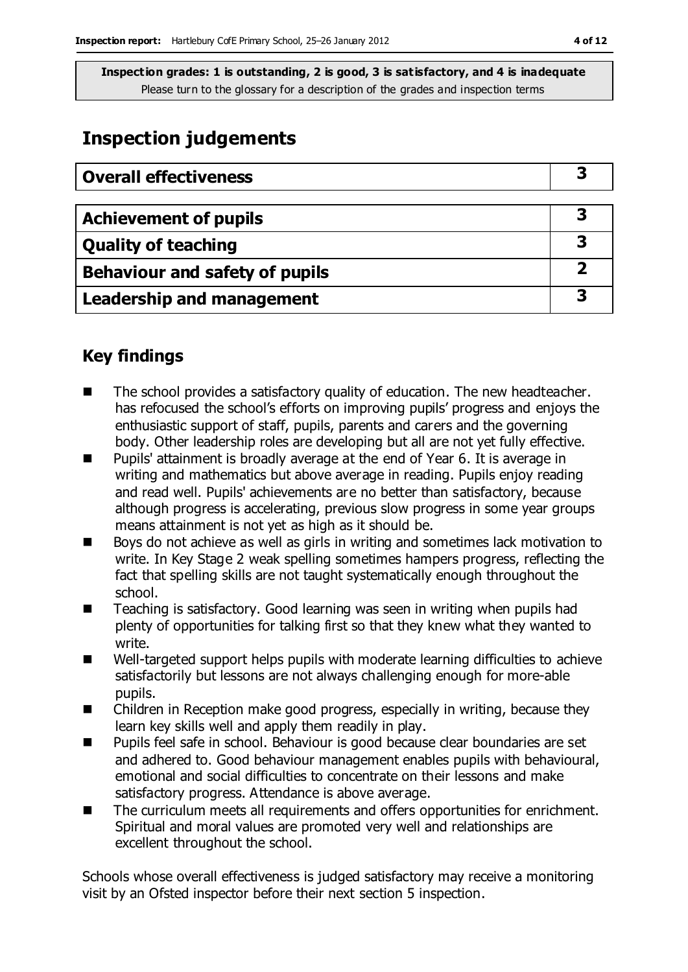### **Inspection judgements**

| <b>Overall effectiveness</b>   |  |
|--------------------------------|--|
|                                |  |
| <b>Achievement of pupils</b>   |  |
| <b>Quality of teaching</b>     |  |
| Behaviour and safety of pupils |  |
| Leadership and management      |  |

### **Key findings**

- The school provides a satisfactory quality of education. The new headteacher. has refocused the school's efforts on improving pupils' progress and enjoys the enthusiastic support of staff, pupils, parents and carers and the governing body. Other leadership roles are developing but all are not yet fully effective.
- Pupils' attainment is broadly average at the end of Year 6. It is average in writing and mathematics but above average in reading. Pupils enjoy reading and read well. Pupils' achievements are no better than satisfactory, because although progress is accelerating, previous slow progress in some year groups means attainment is not yet as high as it should be.
- Boys do not achieve as well as girls in writing and sometimes lack motivation to write. In Key Stage 2 weak spelling sometimes hampers progress, reflecting the fact that spelling skills are not taught systematically enough throughout the school.
- Teaching is satisfactory. Good learning was seen in writing when pupils had plenty of opportunities for talking first so that they knew what they wanted to write.
- Well-targeted support helps pupils with moderate learning difficulties to achieve satisfactorily but lessons are not always challenging enough for more-able pupils.
- Children in Reception make good progress, especially in writing, because they learn key skills well and apply them readily in play.
- Pupils feel safe in school. Behaviour is good because clear boundaries are set and adhered to. Good behaviour management enables pupils with behavioural, emotional and social difficulties to concentrate on their lessons and make satisfactory progress. Attendance is above average.
- The curriculum meets all requirements and offers opportunities for enrichment. Spiritual and moral values are promoted very well and relationships are excellent throughout the school.

Schools whose overall effectiveness is judged satisfactory may receive a monitoring visit by an Ofsted inspector before their next section 5 inspection.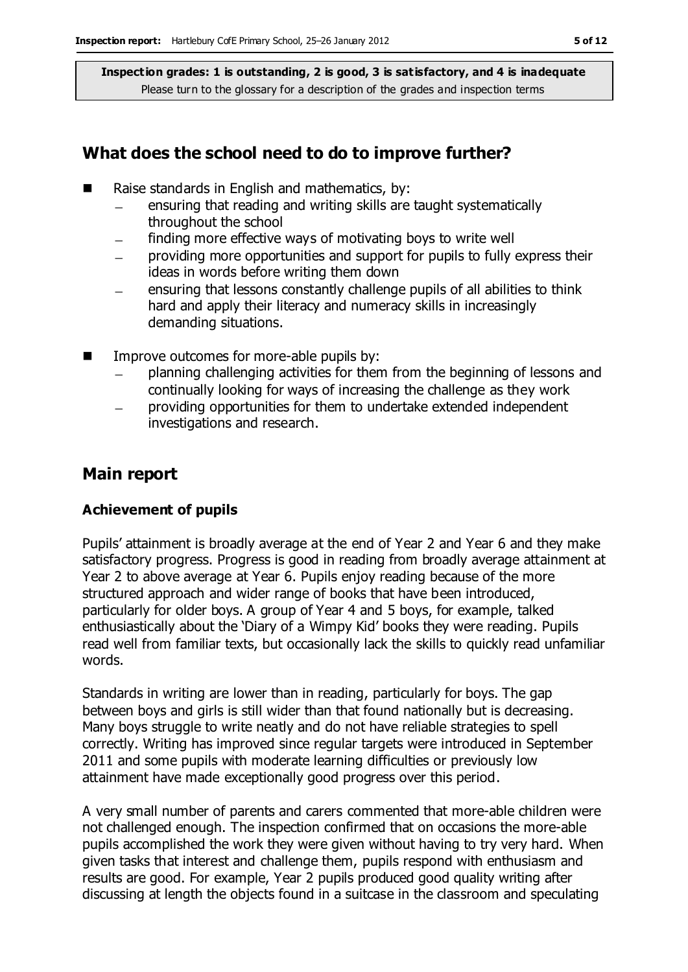#### **What does the school need to do to improve further?**

- Raise standards in English and mathematics, by:
	- ensuring that reading and writing skills are taught systematically throughout the school
	- finding more effective ways of motivating boys to write well
	- providing more opportunities and support for pupils to fully express their ideas in words before writing them down
	- ensuring that lessons constantly challenge pupils of all abilities to think hard and apply their literacy and numeracy skills in increasingly demanding situations.
- $\blacksquare$  Improve outcomes for more-able pupils by:
	- planning challenging activities for them from the beginning of lessons and continually looking for ways of increasing the challenge as they work
	- providing opportunities for them to undertake extended independent investigations and research.

### **Main report**

#### **Achievement of pupils**

Pupils' attainment is broadly average at the end of Year 2 and Year 6 and they make satisfactory progress. Progress is good in reading from broadly average attainment at Year 2 to above average at Year 6. Pupils enjoy reading because of the more structured approach and wider range of books that have been introduced, particularly for older boys. A group of Year 4 and 5 boys, for example, talked enthusiastically about the 'Diary of a Wimpy Kid' books they were reading. Pupils read well from familiar texts, but occasionally lack the skills to quickly read unfamiliar words.

Standards in writing are lower than in reading, particularly for boys. The gap between boys and girls is still wider than that found nationally but is decreasing. Many boys struggle to write neatly and do not have reliable strategies to spell correctly. Writing has improved since regular targets were introduced in September 2011 and some pupils with moderate learning difficulties or previously low attainment have made exceptionally good progress over this period.

A very small number of parents and carers commented that more-able children were not challenged enough. The inspection confirmed that on occasions the more-able pupils accomplished the work they were given without having to try very hard. When given tasks that interest and challenge them, pupils respond with enthusiasm and results are good. For example, Year 2 pupils produced good quality writing after discussing at length the objects found in a suitcase in the classroom and speculating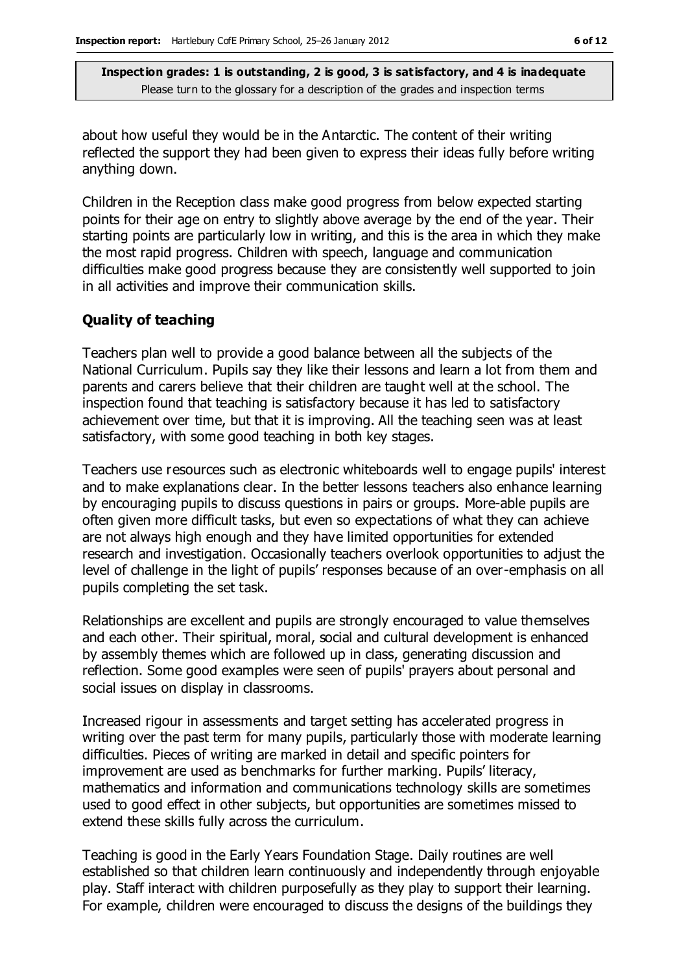about how useful they would be in the Antarctic. The content of their writing reflected the support they had been given to express their ideas fully before writing anything down.

Children in the Reception class make good progress from below expected starting points for their age on entry to slightly above average by the end of the year. Their starting points are particularly low in writing, and this is the area in which they make the most rapid progress. Children with speech, language and communication difficulties make good progress because they are consistently well supported to join in all activities and improve their communication skills.

#### **Quality of teaching**

Teachers plan well to provide a good balance between all the subjects of the National Curriculum. Pupils say they like their lessons and learn a lot from them and parents and carers believe that their children are taught well at the school. The inspection found that teaching is satisfactory because it has led to satisfactory achievement over time, but that it is improving. All the teaching seen was at least satisfactory, with some good teaching in both key stages.

Teachers use resources such as electronic whiteboards well to engage pupils' interest and to make explanations clear. In the better lessons teachers also enhance learning by encouraging pupils to discuss questions in pairs or groups. More-able pupils are often given more difficult tasks, but even so expectations of what they can achieve are not always high enough and they have limited opportunities for extended research and investigation. Occasionally teachers overlook opportunities to adjust the level of challenge in the light of pupils' responses because of an over-emphasis on all pupils completing the set task.

Relationships are excellent and pupils are strongly encouraged to value themselves and each other. Their spiritual, moral, social and cultural development is enhanced by assembly themes which are followed up in class, generating discussion and reflection. Some good examples were seen of pupils' prayers about personal and social issues on display in classrooms.

Increased rigour in assessments and target setting has accelerated progress in writing over the past term for many pupils, particularly those with moderate learning difficulties. Pieces of writing are marked in detail and specific pointers for improvement are used as benchmarks for further marking. Pupils' literacy, mathematics and information and communications technology skills are sometimes used to good effect in other subjects, but opportunities are sometimes missed to extend these skills fully across the curriculum.

Teaching is good in the Early Years Foundation Stage. Daily routines are well established so that children learn continuously and independently through enjoyable play. Staff interact with children purposefully as they play to support their learning. For example, children were encouraged to discuss the designs of the buildings they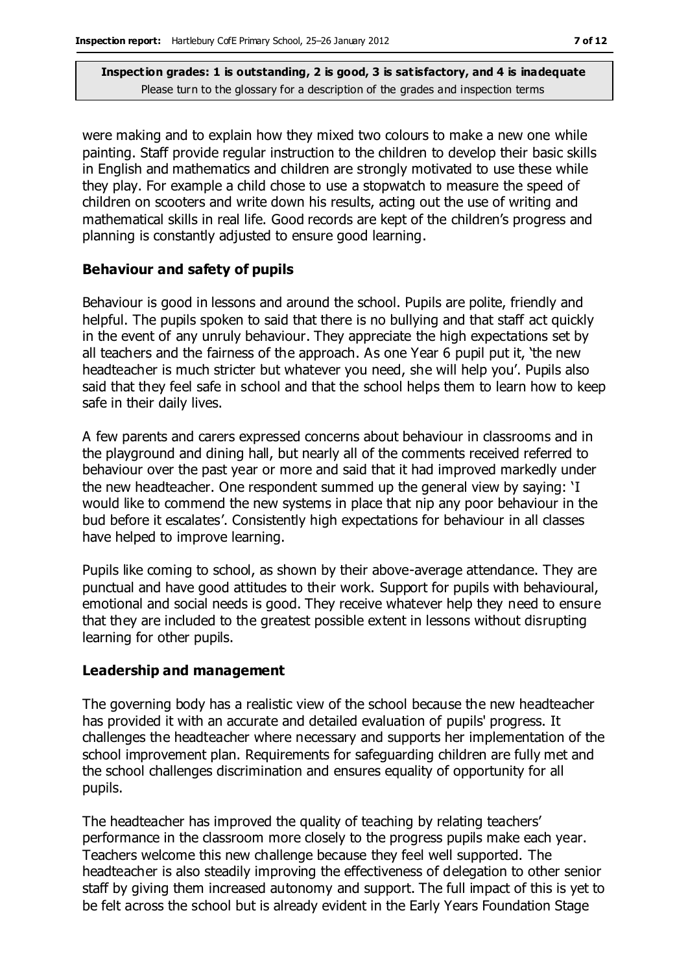were making and to explain how they mixed two colours to make a new one while painting. Staff provide regular instruction to the children to develop their basic skills in English and mathematics and children are strongly motivated to use these while they play. For example a child chose to use a stopwatch to measure the speed of children on scooters and write down his results, acting out the use of writing and mathematical skills in real life. Good records are kept of the children's progress and planning is constantly adjusted to ensure good learning.

#### **Behaviour and safety of pupils**

Behaviour is good in lessons and around the school. Pupils are polite, friendly and helpful. The pupils spoken to said that there is no bullying and that staff act quickly in the event of any unruly behaviour. They appreciate the high expectations set by all teachers and the fairness of the approach. As one Year 6 pupil put it, 'the new headteacher is much stricter but whatever you need, she will help you'. Pupils also said that they feel safe in school and that the school helps them to learn how to keep safe in their daily lives.

A few parents and carers expressed concerns about behaviour in classrooms and in the playground and dining hall, but nearly all of the comments received referred to behaviour over the past year or more and said that it had improved markedly under the new headteacher. One respondent summed up the general view by saying: 'I would like to commend the new systems in place that nip any poor behaviour in the bud before it escalates'. Consistently high expectations for behaviour in all classes have helped to improve learning.

Pupils like coming to school, as shown by their above-average attendance. They are punctual and have good attitudes to their work. Support for pupils with behavioural, emotional and social needs is good. They receive whatever help they need to ensure that they are included to the greatest possible extent in lessons without disrupting learning for other pupils.

#### **Leadership and management**

The governing body has a realistic view of the school because the new headteacher has provided it with an accurate and detailed evaluation of pupils' progress. It challenges the headteacher where necessary and supports her implementation of the school improvement plan. Requirements for safeguarding children are fully met and the school challenges discrimination and ensures equality of opportunity for all pupils.

The headteacher has improved the quality of teaching by relating teachers' performance in the classroom more closely to the progress pupils make each year. Teachers welcome this new challenge because they feel well supported. The headteacher is also steadily improving the effectiveness of delegation to other senior staff by giving them increased autonomy and support. The full impact of this is yet to be felt across the school but is already evident in the Early Years Foundation Stage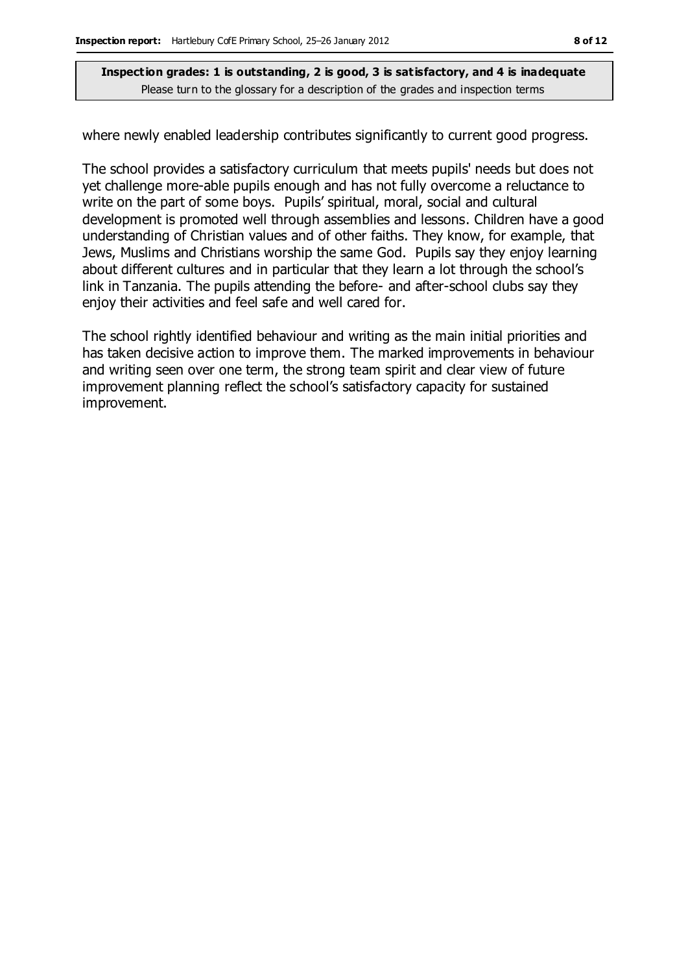where newly enabled leadership contributes significantly to current good progress.

The school provides a satisfactory curriculum that meets pupils' needs but does not yet challenge more-able pupils enough and has not fully overcome a reluctance to write on the part of some boys. Pupils' spiritual, moral, social and cultural development is promoted well through assemblies and lessons. Children have a good understanding of Christian values and of other faiths. They know, for example, that Jews, Muslims and Christians worship the same God. Pupils say they enjoy learning about different cultures and in particular that they learn a lot through the school's link in Tanzania. The pupils attending the before- and after-school clubs say they enjoy their activities and feel safe and well cared for.

The school rightly identified behaviour and writing as the main initial priorities and has taken decisive action to improve them. The marked improvements in behaviour and writing seen over one term, the strong team spirit and clear view of future improvement planning reflect the school's satisfactory capacity for sustained improvement.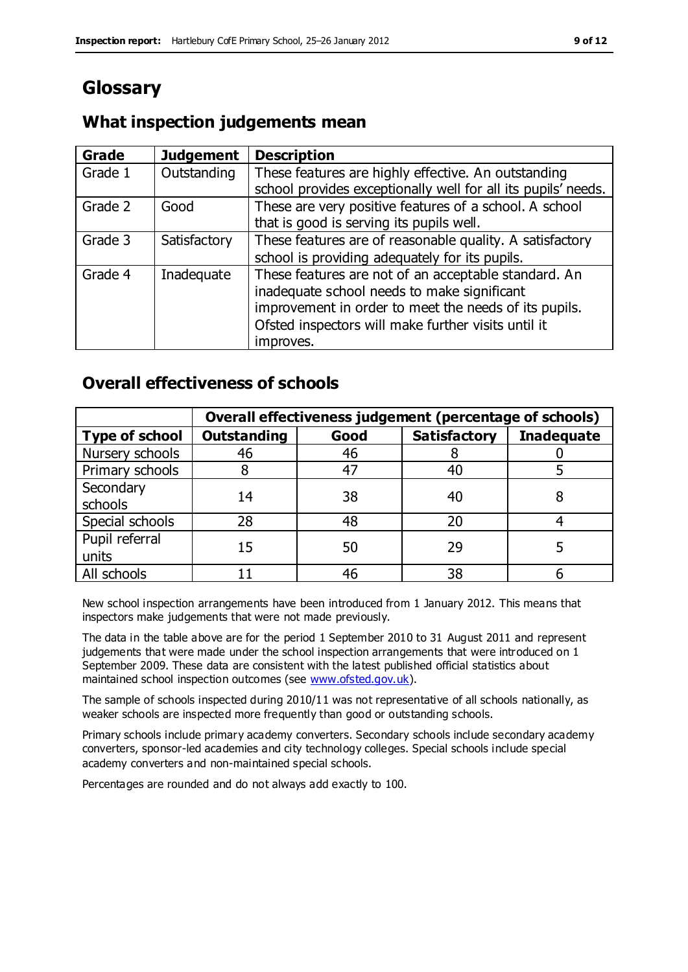### **Glossary**

### **What inspection judgements mean**

| Grade   | <b>Judgement</b> | <b>Description</b>                                            |
|---------|------------------|---------------------------------------------------------------|
| Grade 1 | Outstanding      | These features are highly effective. An outstanding           |
|         |                  | school provides exceptionally well for all its pupils' needs. |
| Grade 2 | Good             | These are very positive features of a school. A school        |
|         |                  | that is good is serving its pupils well.                      |
| Grade 3 | Satisfactory     | These features are of reasonable quality. A satisfactory      |
|         |                  | school is providing adequately for its pupils.                |
| Grade 4 | Inadequate       | These features are not of an acceptable standard. An          |
|         |                  | inadequate school needs to make significant                   |
|         |                  | improvement in order to meet the needs of its pupils.         |
|         |                  | Ofsted inspectors will make further visits until it           |
|         |                  | improves.                                                     |

### **Overall effectiveness of schools**

|                       | Overall effectiveness judgement (percentage of schools) |      |                     |                   |
|-----------------------|---------------------------------------------------------|------|---------------------|-------------------|
| <b>Type of school</b> | <b>Outstanding</b>                                      | Good | <b>Satisfactory</b> | <b>Inadequate</b> |
| Nursery schools       | 46                                                      | 46   |                     |                   |
| Primary schools       |                                                         | 47   | 40                  |                   |
| Secondary             | 14                                                      | 38   | 40                  |                   |
| schools               |                                                         |      |                     |                   |
| Special schools       | 28                                                      | 48   | 20                  |                   |
| Pupil referral        | 15                                                      | 50   | 29                  |                   |
| units                 |                                                         |      |                     |                   |
| All schools           |                                                         | 46   | 38                  |                   |

New school inspection arrangements have been introduced from 1 January 2012. This means that inspectors make judgements that were not made previously.

The data in the table above are for the period 1 September 2010 to 31 August 2011 and represent judgements that were made under the school inspection arrangements that were introduced on 1 September 2009. These data are consistent with the latest published official statistics about maintained school inspection outcomes (see [www.ofsted.gov.uk\)](http://www.ofsted.gov.uk/).

The sample of schools inspected during 2010/11 was not representative of all schools nationally, as weaker schools are inspected more frequently than good or outstanding schools.

Primary schools include primary academy converters. Secondary schools include secondary academy converters, sponsor-led academies and city technology colleges. Special schools include special academy converters and non-maintained special schools.

Percentages are rounded and do not always add exactly to 100.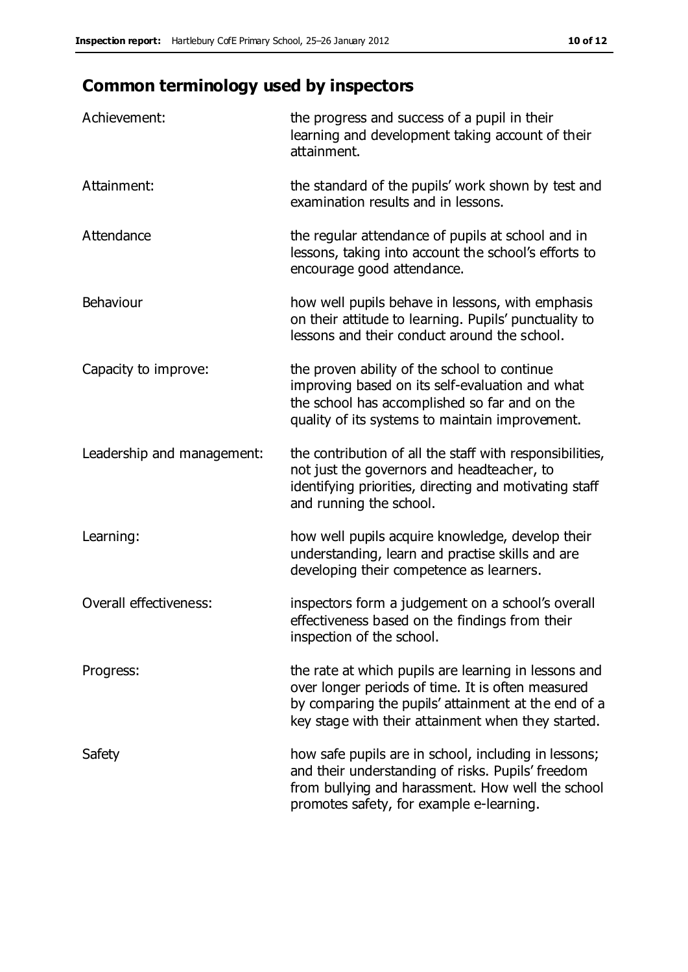## **Common terminology used by inspectors**

| Achievement:               | the progress and success of a pupil in their<br>learning and development taking account of their<br>attainment.                                                                                                        |
|----------------------------|------------------------------------------------------------------------------------------------------------------------------------------------------------------------------------------------------------------------|
| Attainment:                | the standard of the pupils' work shown by test and<br>examination results and in lessons.                                                                                                                              |
| Attendance                 | the regular attendance of pupils at school and in<br>lessons, taking into account the school's efforts to<br>encourage good attendance.                                                                                |
| Behaviour                  | how well pupils behave in lessons, with emphasis<br>on their attitude to learning. Pupils' punctuality to<br>lessons and their conduct around the school.                                                              |
| Capacity to improve:       | the proven ability of the school to continue<br>improving based on its self-evaluation and what<br>the school has accomplished so far and on the<br>quality of its systems to maintain improvement.                    |
| Leadership and management: | the contribution of all the staff with responsibilities,<br>not just the governors and headteacher, to<br>identifying priorities, directing and motivating staff<br>and running the school.                            |
| Learning:                  | how well pupils acquire knowledge, develop their<br>understanding, learn and practise skills and are<br>developing their competence as learners.                                                                       |
| Overall effectiveness:     | inspectors form a judgement on a school's overall<br>effectiveness based on the findings from their<br>inspection of the school.                                                                                       |
| Progress:                  | the rate at which pupils are learning in lessons and<br>over longer periods of time. It is often measured<br>by comparing the pupils' attainment at the end of a<br>key stage with their attainment when they started. |
| Safety                     | how safe pupils are in school, including in lessons;<br>and their understanding of risks. Pupils' freedom<br>from bullying and harassment. How well the school<br>promotes safety, for example e-learning.             |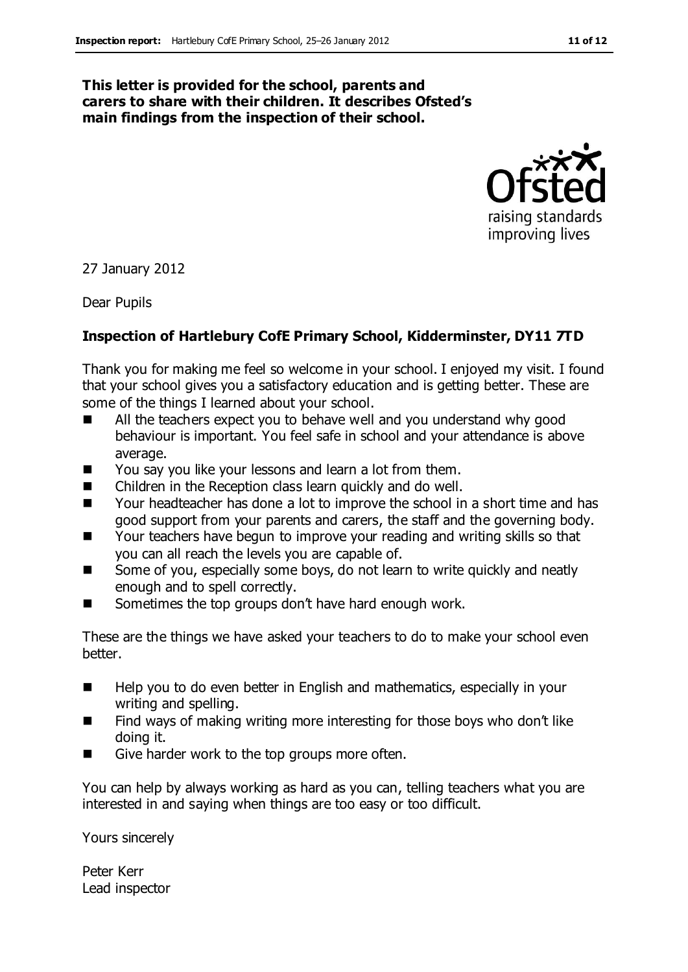#### **This letter is provided for the school, parents and carers to share with their children. It describes Ofsted's main findings from the inspection of their school.**



27 January 2012

Dear Pupils

#### **Inspection of Hartlebury CofE Primary School, Kidderminster, DY11 7TD**

Thank you for making me feel so welcome in your school. I enjoyed my visit. I found that your school gives you a satisfactory education and is getting better. These are some of the things I learned about your school.

- All the teachers expect you to behave well and you understand why good behaviour is important. You feel safe in school and your attendance is above average.
- You say you like your lessons and learn a lot from them.
- Children in the Reception class learn quickly and do well.
- Your headteacher has done a lot to improve the school in a short time and has good support from your parents and carers, the staff and the governing body.
- Your teachers have begun to improve your reading and writing skills so that you can all reach the levels you are capable of.
- Some of you, especially some boys, do not learn to write quickly and neatly enough and to spell correctly.
- Sometimes the top groups don't have hard enough work.

These are the things we have asked your teachers to do to make your school even better.

- Help you to do even better in English and mathematics, especially in your writing and spelling.
- Find ways of making writing more interesting for those boys who don't like doing it.
- Give harder work to the top groups more often.

You can help by always working as hard as you can, telling teachers what you are interested in and saying when things are too easy or too difficult.

Yours sincerely

Peter Kerr Lead inspector